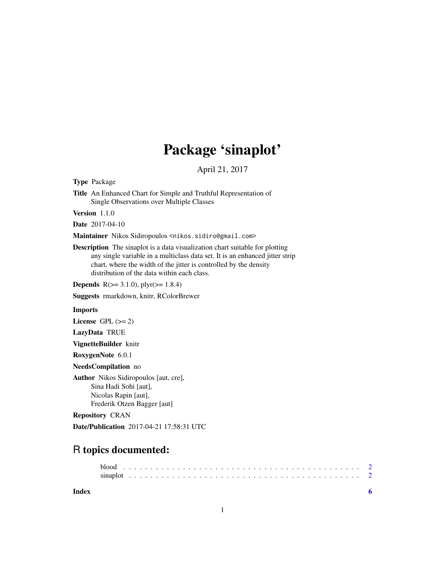## Package 'sinaplot'

April 21, 2017

<span id="page-0-0"></span>Type Package

Title An Enhanced Chart for Simple and Truthful Representation of Single Observations over Multiple Classes

Version 1.1.0

Date 2017-04-10

Maintainer Nikos Sidiropoulos <nikos.sidiro@gmail.com>

Description The sinaplot is a data visualization chart suitable for plotting any single variable in a multiclass data set. It is an enhanced jitter strip chart, where the width of the jitter is controlled by the density distribution of the data within each class.

**Depends**  $R(>= 3.1.0)$ ,  $plyr(>= 1.8.4)$ 

Suggests rmarkdown, knitr, RColorBrewer

#### Imports

License GPL  $(>= 2)$ 

LazyData TRUE

VignetteBuilder knitr

RoxygenNote 6.0.1

NeedsCompilation no

Author Nikos Sidiropoulos [aut, cre], Sina Hadi Sohi [aut], Nicolas Rapin [aut], Frederik Otzen Bagger [aut]

Repository CRAN

Date/Publication 2017-04-21 17:58:31 UTC

### R topics documented:

#### **Index** [6](#page-5-0) **6**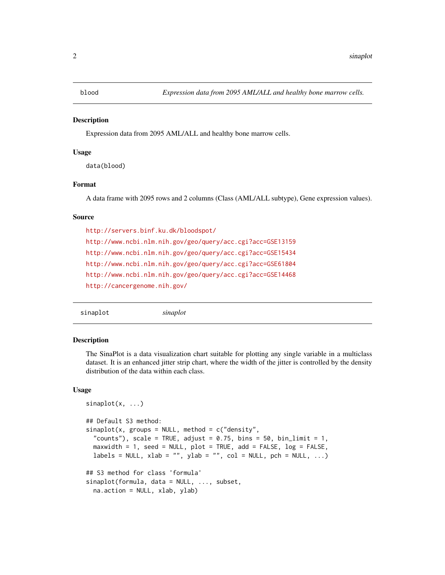<span id="page-1-0"></span>

#### Description

Expression data from 2095 AML/ALL and healthy bone marrow cells.

#### Usage

data(blood)

#### Format

A data frame with 2095 rows and 2 columns (Class (AML/ALL subtype), Gene expression values).

#### Source

<http://servers.binf.ku.dk/bloodspot/> <http://www.ncbi.nlm.nih.gov/geo/query/acc.cgi?acc=GSE13159> <http://www.ncbi.nlm.nih.gov/geo/query/acc.cgi?acc=GSE15434> <http://www.ncbi.nlm.nih.gov/geo/query/acc.cgi?acc=GSE61804> <http://www.ncbi.nlm.nih.gov/geo/query/acc.cgi?acc=GSE14468> <http://cancergenome.nih.gov/>

sinaplot *sinaplot*

#### **Description**

The SinaPlot is a data visualization chart suitable for plotting any single variable in a multiclass dataset. It is an enhanced jitter strip chart, where the width of the jitter is controlled by the density distribution of the data within each class.

#### Usage

```
sinaplot(x, ...)
## Default S3 method:
sinaplot(x, groups = NULL, method = c("density","counts"), scale = TRUE, adjust = 0.75, bins = 50, bin_limit = 1,
 maxwidth = 1, seed = NULL, plot = TRUE, add = FALSE, log = FALSE,
 labels = NULL, xlab = "", ylab = "", col = NULL, pch = NULL, ...)
## S3 method for class 'formula'
sinaplot(formula, data = NULL, ..., subset,
 na.action = NULL, xlab, ylab)
```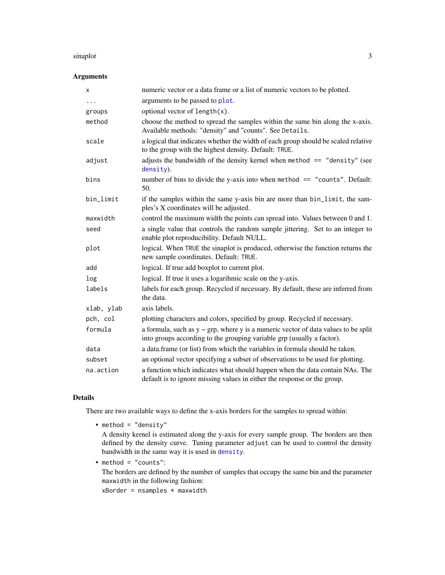#### <span id="page-2-0"></span>sinaplot 3

#### Arguments

| x          | numeric vector or a data frame or a list of numeric vectors to be plotted.                                                                                         |
|------------|--------------------------------------------------------------------------------------------------------------------------------------------------------------------|
| $\cdots$   | arguments to be passed to plot.                                                                                                                                    |
| groups     | optional vector of length(x).                                                                                                                                      |
| method     | choose the method to spread the samples within the same bin along the x-axis.<br>Available methods: "density" and "counts". See Details.                           |
| scale      | a logical that indicates whether the width of each group should be scaled relative<br>to the group with the highest density. Default: TRUE.                        |
| adjust     | adjusts the bandwidth of the density kernel when method $==$ "density" (see<br>density).                                                                           |
| bins       | number of bins to divide the y-axis into when method == "counts". Default:<br>50.                                                                                  |
| bin_limit  | if the samples within the same y-axis bin are more than bin_limit, the sam-<br>ples's X coordinates will be adjusted.                                              |
| maxwidth   | control the maximum width the points can spread into. Values between 0 and 1.                                                                                      |
| seed       | a single value that controls the random sample jittering. Set to an integer to<br>enable plot reproducibility. Default NULL.                                       |
| plot       | logical. When TRUE the sinaplot is produced, otherwise the function returns the<br>new sample coordinates. Default: TRUE.                                          |
| add        | logical. If true add boxplot to current plot.                                                                                                                      |
| log        | logical. If true it uses a logarihmic scale on the y-axis.                                                                                                         |
| labels     | labels for each group. Recycled if necessary. By default, these are inferred from<br>the data.                                                                     |
| xlab, ylab | axis labels.                                                                                                                                                       |
| pch, col   | plotting characters and colors, specified by group. Recycled if necessary.                                                                                         |
| formula    | a formula, such as $y \sim grp$ , where y is a numeric vector of data values to be split<br>into groups according to the grouping variable grp (usually a factor). |
| data       | a data.frame (or list) from which the variables in formula should be taken.                                                                                        |
| subset     | an optional vector specifying a subset of observations to be used for plotting.                                                                                    |
| na.action  | a function which indicates what should happen when the data contain NAs. The<br>default is to ignore missing values in either the response or the group.           |

#### Details

There are two available ways to define the x-axis borders for the samples to spread within:

• method = "density"

A density kernel is estimated along the y-axis for every sample group. The borders are then defined by the density curve. Tuning parameter adjust can be used to control the density bandwidth in the same way it is used in [density](#page-0-0).

• method = "counts":

The borders are defined by the number of samples that occupy the same bin and the parameter maxwidth in the following fashion:

 $xBorder = nsamples * maxwidth$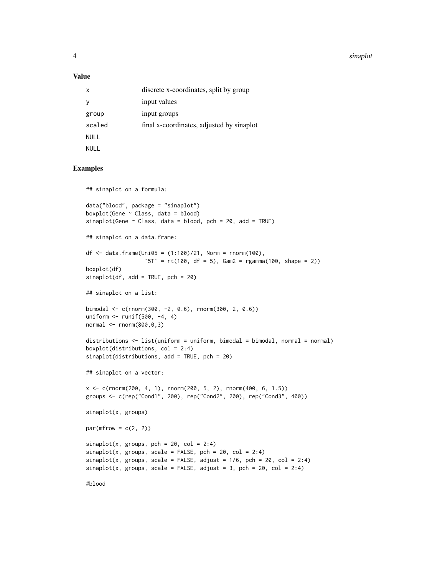4 sinaplot

#### Value

| X           | discrete x-coordinates, split by group    |
|-------------|-------------------------------------------|
|             | input values                              |
| group       | input groups                              |
| scaled      | final x-coordinates, adjusted by sinaplot |
| <b>NULL</b> |                                           |
| NULL        |                                           |

#### Examples

```
## sinaplot on a formula:
data("blood", package = "sinaplot")
boxplot(Gene ~ Class, data = blood)sinaplot(Gene \sim Class, data = blood, pch = 20, add = TRUE)
## sinaplot on a data.frame:
df <- data.frame(Uni05 = (1:100)/21, Norm = rnorm(100),
                  `5T` = rt(100, df = 5), Gam2 = rgamma(100, shape = 2))
boxplot(df)
sinaplot(df, add = TRUE, pch = 20)## sinaplot on a list:
bimodal <- c(rnorm(300, -2, 0.6), rnorm(300, 2, 0.6))
uniform <- runif(500, -4, 4)
normal <- rnorm(800,0,3)
distributions <- list(uniform = uniform, bimodal = bimodal, normal = normal)
boxplot(distributions, col = 2:4)
sinaplot(distributions, add = TRUE, pch = 20)
## sinaplot on a vector:
x <- c(rnorm(200, 4, 1), rnorm(200, 5, 2), rnorm(400, 6, 1.5))
groups <- c(rep("Cond1", 200), rep("Cond2", 200), rep("Cond3", 400))
sinaplot(x, groups)
par(mfrow = c(2, 2))sinaplot(x, groups, pch = 20, col = 2:4)sinaplot(x, groups, scale = FALSE, pch = 20, col = 2:4)sinaplot(x, groups, scale = FALSE, adjust = 1/6, pch = 20, col = 2:4)sinaplot(x, groups, scale = FALSE, adjust = 3, pch = 20, col = 2:4)
```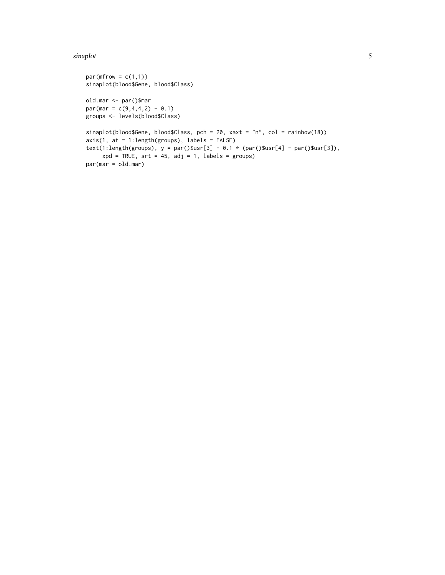#### sinaplot 5

```
par(mfrow = c(1,1))sinaplot(blood$Gene, blood$Class)
old.mar <- par()$mar
par(max = c(9, 4, 4, 2) + 0.1)groups <- levels(blood$Class)
sinaplot(blood$Gene, blood$Class, pch = 20, xaxt = "n", col = rainbow(18))
axis(1, at = 1:length(groups), labels = FALSE)text(1:length(groups), y = par()$usr[3] - 0.1 * (par()$usr[4] - par()$usr[3]),
     xpd = TRUE, srt = 45, adj = 1, labels = groups)
par(mar = old.mar)
```